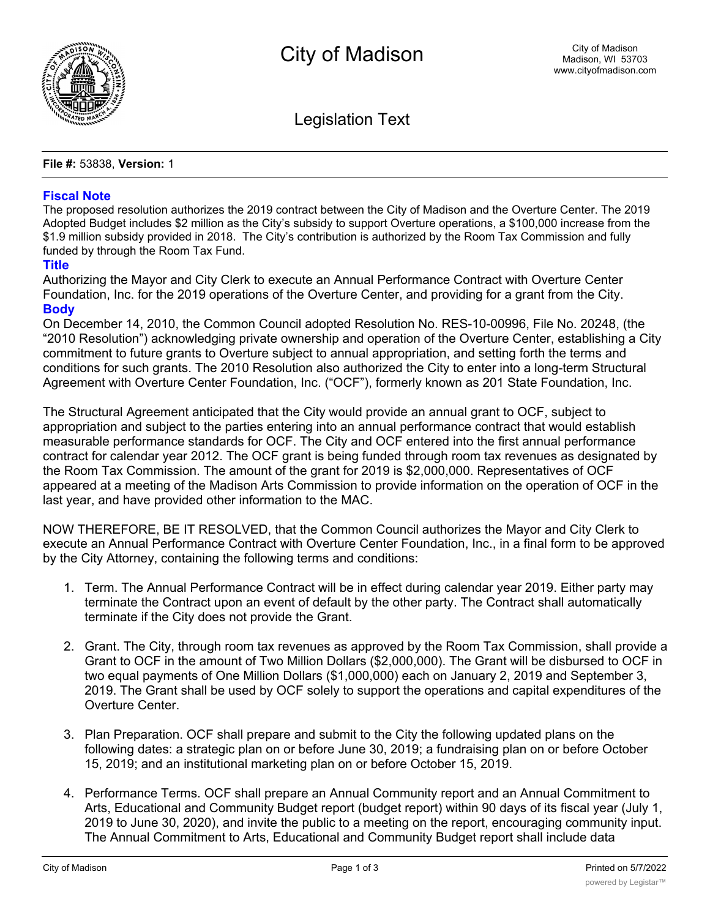

Legislation Text

**File #:** 53838, **Version:** 1

## **Fiscal Note**

The proposed resolution authorizes the 2019 contract between the City of Madison and the Overture Center. The 2019 Adopted Budget includes \$2 million as the City's subsidy to support Overture operations, a \$100,000 increase from the \$1.9 million subsidy provided in 2018. The City's contribution is authorized by the Room Tax Commission and fully funded by through the Room Tax Fund.

## **Title**

Authorizing the Mayor and City Clerk to execute an Annual Performance Contract with Overture Center Foundation, Inc. for the 2019 operations of the Overture Center, and providing for a grant from the City. **Body**

On December 14, 2010, the Common Council adopted Resolution No. RES-10-00996, File No. 20248, (the "2010 Resolution") acknowledging private ownership and operation of the Overture Center, establishing a City commitment to future grants to Overture subject to annual appropriation, and setting forth the terms and conditions for such grants. The 2010 Resolution also authorized the City to enter into a long-term Structural Agreement with Overture Center Foundation, Inc. ("OCF"), formerly known as 201 State Foundation, Inc.

The Structural Agreement anticipated that the City would provide an annual grant to OCF, subject to appropriation and subject to the parties entering into an annual performance contract that would establish measurable performance standards for OCF. The City and OCF entered into the first annual performance contract for calendar year 2012. The OCF grant is being funded through room tax revenues as designated by the Room Tax Commission. The amount of the grant for 2019 is \$2,000,000. Representatives of OCF appeared at a meeting of the Madison Arts Commission to provide information on the operation of OCF in the last year, and have provided other information to the MAC.

NOW THEREFORE, BE IT RESOLVED, that the Common Council authorizes the Mayor and City Clerk to execute an Annual Performance Contract with Overture Center Foundation, Inc., in a final form to be approved by the City Attorney, containing the following terms and conditions:

- 1. Term. The Annual Performance Contract will be in effect during calendar year 2019. Either party may terminate the Contract upon an event of default by the other party. The Contract shall automatically terminate if the City does not provide the Grant.
- 2. Grant. The City, through room tax revenues as approved by the Room Tax Commission, shall provide a Grant to OCF in the amount of Two Million Dollars (\$2,000,000). The Grant will be disbursed to OCF in two equal payments of One Million Dollars (\$1,000,000) each on January 2, 2019 and September 3, 2019. The Grant shall be used by OCF solely to support the operations and capital expenditures of the Overture Center.
- 3. Plan Preparation. OCF shall prepare and submit to the City the following updated plans on the following dates: a strategic plan on or before June 30, 2019; a fundraising plan on or before October 15, 2019; and an institutional marketing plan on or before October 15, 2019.
- 4. Performance Terms. OCF shall prepare an Annual Community report and an Annual Commitment to Arts, Educational and Community Budget report (budget report) within 90 days of its fiscal year (July 1, 2019 to June 30, 2020), and invite the public to a meeting on the report, encouraging community input. The Annual Commitment to Arts, Educational and Community Budget report shall include data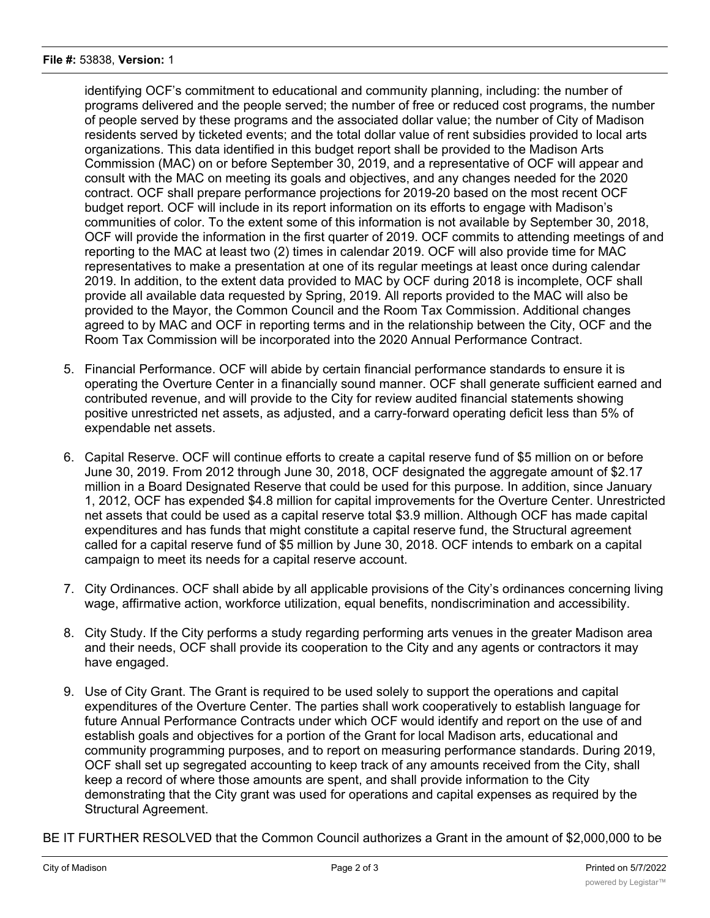identifying OCF's commitment to educational and community planning, including: the number of programs delivered and the people served; the number of free or reduced cost programs, the number of people served by these programs and the associated dollar value; the number of City of Madison residents served by ticketed events; and the total dollar value of rent subsidies provided to local arts organizations. This data identified in this budget report shall be provided to the Madison Arts Commission (MAC) on or before September 30, 2019, and a representative of OCF will appear and consult with the MAC on meeting its goals and objectives, and any changes needed for the 2020 contract. OCF shall prepare performance projections for 2019-20 based on the most recent OCF budget report. OCF will include in its report information on its efforts to engage with Madison's communities of color. To the extent some of this information is not available by September 30, 2018, OCF will provide the information in the first quarter of 2019. OCF commits to attending meetings of and reporting to the MAC at least two (2) times in calendar 2019. OCF will also provide time for MAC representatives to make a presentation at one of its regular meetings at least once during calendar 2019. In addition, to the extent data provided to MAC by OCF during 2018 is incomplete, OCF shall provide all available data requested by Spring, 2019. All reports provided to the MAC will also be provided to the Mayor, the Common Council and the Room Tax Commission. Additional changes agreed to by MAC and OCF in reporting terms and in the relationship between the City, OCF and the Room Tax Commission will be incorporated into the 2020 Annual Performance Contract.

- 5. Financial Performance. OCF will abide by certain financial performance standards to ensure it is operating the Overture Center in a financially sound manner. OCF shall generate sufficient earned and contributed revenue, and will provide to the City for review audited financial statements showing positive unrestricted net assets, as adjusted, and a carry-forward operating deficit less than 5% of expendable net assets.
- 6. Capital Reserve. OCF will continue efforts to create a capital reserve fund of \$5 million on or before June 30, 2019. From 2012 through June 30, 2018, OCF designated the aggregate amount of \$2.17 million in a Board Designated Reserve that could be used for this purpose. In addition, since January 1, 2012, OCF has expended \$4.8 million for capital improvements for the Overture Center. Unrestricted net assets that could be used as a capital reserve total \$3.9 million. Although OCF has made capital expenditures and has funds that might constitute a capital reserve fund, the Structural agreement called for a capital reserve fund of \$5 million by June 30, 2018. OCF intends to embark on a capital campaign to meet its needs for a capital reserve account.
- 7. City Ordinances. OCF shall abide by all applicable provisions of the City's ordinances concerning living wage, affirmative action, workforce utilization, equal benefits, nondiscrimination and accessibility.
- 8. City Study. If the City performs a study regarding performing arts venues in the greater Madison area and their needs, OCF shall provide its cooperation to the City and any agents or contractors it may have engaged.
- 9. Use of City Grant. The Grant is required to be used solely to support the operations and capital expenditures of the Overture Center. The parties shall work cooperatively to establish language for future Annual Performance Contracts under which OCF would identify and report on the use of and establish goals and objectives for a portion of the Grant for local Madison arts, educational and community programming purposes, and to report on measuring performance standards. During 2019, OCF shall set up segregated accounting to keep track of any amounts received from the City, shall keep a record of where those amounts are spent, and shall provide information to the City demonstrating that the City grant was used for operations and capital expenses as required by the Structural Agreement.

BE IT FURTHER RESOLVED that the Common Council authorizes a Grant in the amount of \$2,000,000 to be